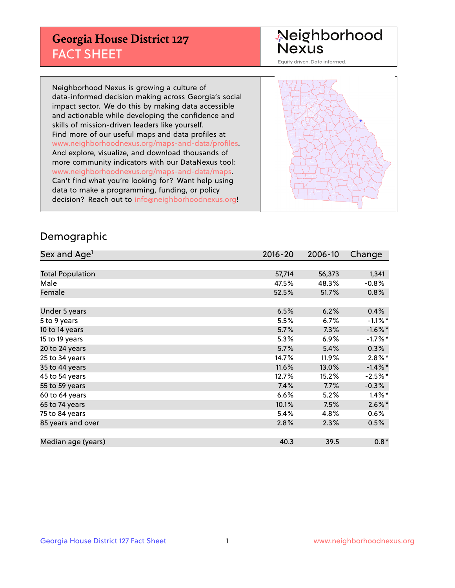## **Georgia House District 127** FACT SHEET

# Neighborhood<br>Nexus

Equity driven. Data informed.

Neighborhood Nexus is growing a culture of data-informed decision making across Georgia's social impact sector. We do this by making data accessible and actionable while developing the confidence and skills of mission-driven leaders like yourself. Find more of our useful maps and data profiles at www.neighborhoodnexus.org/maps-and-data/profiles. And explore, visualize, and download thousands of more community indicators with our DataNexus tool: www.neighborhoodnexus.org/maps-and-data/maps. Can't find what you're looking for? Want help using data to make a programming, funding, or policy decision? Reach out to [info@neighborhoodnexus.org!](mailto:info@neighborhoodnexus.org)



### Demographic

| Sex and Age <sup>1</sup> | 2016-20 | 2006-10 | Change     |
|--------------------------|---------|---------|------------|
|                          |         |         |            |
| <b>Total Population</b>  | 57,714  | 56,373  | 1,341      |
| Male                     | 47.5%   | 48.3%   | $-0.8%$    |
| Female                   | 52.5%   | 51.7%   | 0.8%       |
|                          |         |         |            |
| Under 5 years            | 6.5%    | 6.2%    | 0.4%       |
| 5 to 9 years             | 5.5%    | 6.7%    | $-1.1\%$ * |
| 10 to 14 years           | 5.7%    | 7.3%    | $-1.6%$ *  |
| 15 to 19 years           | 5.3%    | 6.9%    | $-1.7%$ *  |
| 20 to 24 years           | 5.7%    | 5.4%    | 0.3%       |
| 25 to 34 years           | 14.7%   | 11.9%   | $2.8\%$ *  |
| 35 to 44 years           | 11.6%   | 13.0%   | $-1.4\%$ * |
| 45 to 54 years           | 12.7%   | 15.2%   | $-2.5%$ *  |
| 55 to 59 years           | 7.4%    | 7.7%    | $-0.3%$    |
| 60 to 64 years           | 6.6%    | 5.2%    | $1.4\%$ *  |
| 65 to 74 years           | 10.1%   | 7.5%    | $2.6\%$ *  |
| 75 to 84 years           | 5.4%    | 4.8%    | $0.6\%$    |
| 85 years and over        | 2.8%    | 2.3%    | 0.5%       |
|                          |         |         |            |
| Median age (years)       | 40.3    | 39.5    | $0.8*$     |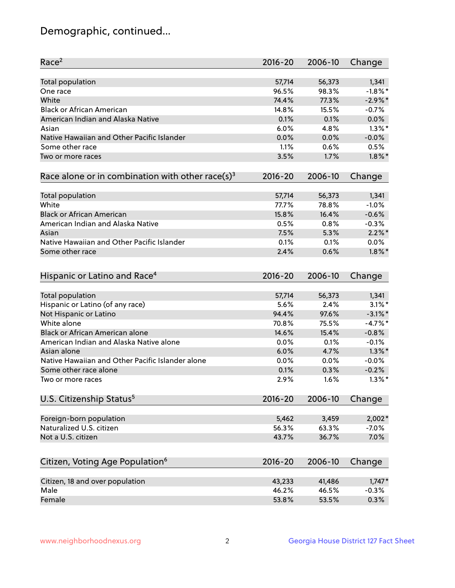## Demographic, continued...

| Race <sup>2</sup>                                            | $2016 - 20$ | 2006-10 | Change     |
|--------------------------------------------------------------|-------------|---------|------------|
| <b>Total population</b>                                      | 57,714      | 56,373  | 1,341      |
| One race                                                     | 96.5%       | 98.3%   | $-1.8\%$ * |
| White                                                        | 74.4%       | 77.3%   | $-2.9%$ *  |
| <b>Black or African American</b>                             | 14.8%       | 15.5%   | $-0.7%$    |
| American Indian and Alaska Native                            | 0.1%        | 0.1%    | 0.0%       |
| Asian                                                        | 6.0%        | 4.8%    | $1.3\%$ *  |
| Native Hawaiian and Other Pacific Islander                   | 0.0%        | 0.0%    | $-0.0%$    |
| Some other race                                              | 1.1%        | 0.6%    | 0.5%       |
| Two or more races                                            | 3.5%        | 1.7%    | $1.8\%$ *  |
| Race alone or in combination with other race(s) <sup>3</sup> | $2016 - 20$ | 2006-10 | Change     |
| Total population                                             | 57,714      | 56,373  | 1,341      |
| White                                                        | 77.7%       | 78.8%   | $-1.0%$    |
| <b>Black or African American</b>                             | 15.8%       | 16.4%   | $-0.6%$    |
| American Indian and Alaska Native                            | 0.5%        | 0.8%    | $-0.3%$    |
| Asian                                                        | 7.5%        | 5.3%    | $2.2\%$ *  |
| Native Hawaiian and Other Pacific Islander                   | 0.1%        | 0.1%    | $0.0\%$    |
| Some other race                                              | 2.4%        | 0.6%    | $1.8\%$ *  |
| Hispanic or Latino and Race <sup>4</sup>                     | $2016 - 20$ | 2006-10 | Change     |
| Total population                                             | 57,714      | 56,373  | 1,341      |
| Hispanic or Latino (of any race)                             | 5.6%        | 2.4%    | $3.1\%$ *  |
| Not Hispanic or Latino                                       | 94.4%       | 97.6%   | $-3.1\%$ * |
| White alone                                                  | 70.8%       | 75.5%   | $-4.7%$    |
| Black or African American alone                              | 14.6%       | 15.4%   | $-0.8%$    |
| American Indian and Alaska Native alone                      | 0.0%        | 0.1%    | $-0.1%$    |
| Asian alone                                                  | 6.0%        | 4.7%    | $1.3\%$ *  |
| Native Hawaiian and Other Pacific Islander alone             | $0.0\%$     | 0.0%    | $-0.0%$    |
| Some other race alone                                        | 0.1%        | 0.3%    | $-0.2%$    |
| Two or more races                                            | 2.9%        | 1.6%    | $1.3\%$ *  |
| U.S. Citizenship Status <sup>5</sup>                         | $2016 - 20$ | 2006-10 | Change     |
|                                                              |             |         |            |
| Foreign-born population                                      | 5,462       | 3,459   | $2,002*$   |
| Naturalized U.S. citizen                                     | 56.3%       | 63.3%   | $-7.0%$    |
| Not a U.S. citizen                                           | 43.7%       | 36.7%   | 7.0%       |
| Citizen, Voting Age Population <sup>6</sup>                  | $2016 - 20$ | 2006-10 | Change     |
| Citizen, 18 and over population                              | 43,233      | 41,486  | $1,747*$   |
| Male                                                         | 46.2%       | 46.5%   | $-0.3%$    |
| Female                                                       | 53.8%       | 53.5%   | 0.3%       |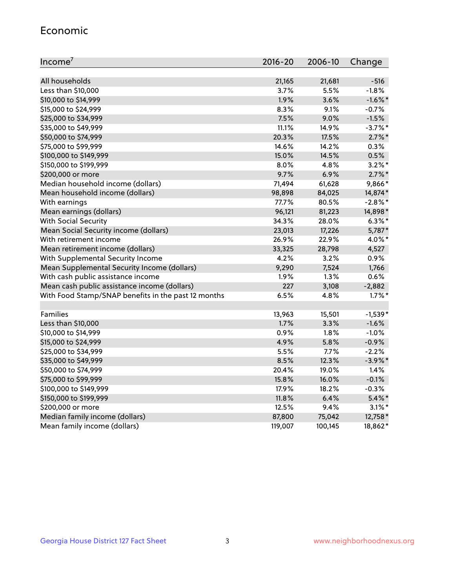#### Economic

| Income <sup>7</sup>                                 | 2016-20 | 2006-10 | Change     |
|-----------------------------------------------------|---------|---------|------------|
|                                                     |         |         |            |
| All households                                      | 21,165  | 21,681  | $-516$     |
| Less than \$10,000                                  | 3.7%    | 5.5%    | $-1.8%$    |
| \$10,000 to \$14,999                                | 1.9%    | 3.6%    | $-1.6\%$ * |
| \$15,000 to \$24,999                                | 8.3%    | 9.1%    | $-0.7%$    |
| \$25,000 to \$34,999                                | 7.5%    | 9.0%    | $-1.5%$    |
| \$35,000 to \$49,999                                | 11.1%   | 14.9%   | $-3.7%$ *  |
| \$50,000 to \$74,999                                | 20.3%   | 17.5%   | $2.7\%$ *  |
| \$75,000 to \$99,999                                | 14.6%   | 14.2%   | 0.3%       |
| \$100,000 to \$149,999                              | 15.0%   | 14.5%   | 0.5%       |
| \$150,000 to \$199,999                              | 8.0%    | 4.8%    | $3.2\%$ *  |
| \$200,000 or more                                   | 9.7%    | 6.9%    | $2.7\%$ *  |
| Median household income (dollars)                   | 71,494  | 61,628  | 9,866*     |
| Mean household income (dollars)                     | 98,898  | 84,025  | 14,874*    |
| With earnings                                       | 77.7%   | 80.5%   | $-2.8\%$ * |
| Mean earnings (dollars)                             | 96,121  | 81,223  | 14,898*    |
| <b>With Social Security</b>                         | 34.3%   | 28.0%   | $6.3\%$ *  |
| Mean Social Security income (dollars)               | 23,013  | 17,226  | 5,787*     |
| With retirement income                              | 26.9%   | 22.9%   | 4.0%*      |
| Mean retirement income (dollars)                    | 33,325  | 28,798  | 4,527      |
| With Supplemental Security Income                   | 4.2%    | 3.2%    | 0.9%       |
| Mean Supplemental Security Income (dollars)         | 9,290   | 7,524   | 1,766      |
| With cash public assistance income                  | 1.9%    | 1.3%    | 0.6%       |
| Mean cash public assistance income (dollars)        | 227     | 3,108   | $-2,882$   |
| With Food Stamp/SNAP benefits in the past 12 months | 6.5%    | 4.8%    | $1.7\%$ *  |
|                                                     |         |         |            |
| Families                                            | 13,963  | 15,501  | $-1,539*$  |
| Less than \$10,000                                  | 1.7%    | 3.3%    | $-1.6%$    |
| \$10,000 to \$14,999                                | 0.9%    | 1.8%    | $-1.0%$    |
| \$15,000 to \$24,999                                | 4.9%    | 5.8%    | $-0.9%$    |
| \$25,000 to \$34,999                                | 5.5%    | 7.7%    | $-2.2%$    |
| \$35,000 to \$49,999                                | 8.5%    | 12.3%   | $-3.9\%$ * |
| \$50,000 to \$74,999                                | 20.4%   | 19.0%   | 1.4%       |
| \$75,000 to \$99,999                                | 15.8%   | 16.0%   | $-0.1%$    |
| \$100,000 to \$149,999                              | 17.9%   | 18.2%   | $-0.3%$    |
| \$150,000 to \$199,999                              | 11.8%   | 6.4%    | $5.4\%$ *  |
| \$200,000 or more                                   | 12.5%   | 9.4%    | $3.1\%$ *  |
| Median family income (dollars)                      | 87,800  | 75,042  | 12,758*    |
| Mean family income (dollars)                        | 119,007 | 100,145 | 18,862*    |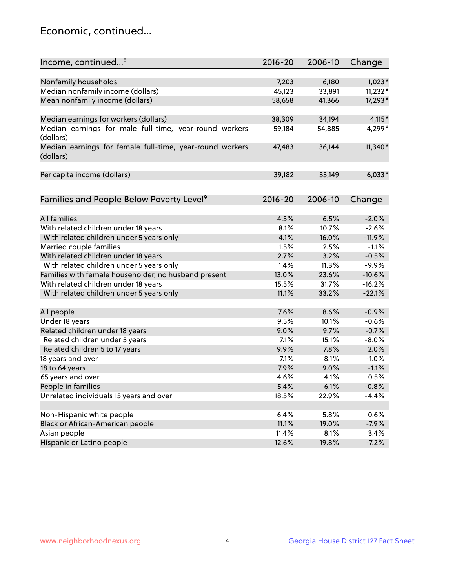## Economic, continued...

| Income, continued <sup>8</sup>                           | $2016 - 20$ | 2006-10 | Change   |
|----------------------------------------------------------|-------------|---------|----------|
|                                                          |             |         |          |
| Nonfamily households                                     | 7,203       | 6,180   | $1,023*$ |
| Median nonfamily income (dollars)                        | 45,123      | 33,891  | 11,232*  |
| Mean nonfamily income (dollars)                          | 58,658      | 41,366  | 17,293*  |
|                                                          |             |         |          |
| Median earnings for workers (dollars)                    | 38,309      | 34,194  | $4,115*$ |
| Median earnings for male full-time, year-round workers   | 59,184      | 54,885  | 4,299*   |
| (dollars)                                                |             |         |          |
| Median earnings for female full-time, year-round workers | 47,483      | 36,144  | 11,340*  |
| (dollars)                                                |             |         |          |
|                                                          |             |         |          |
| Per capita income (dollars)                              | 39,182      | 33,149  | $6,033*$ |
|                                                          |             |         |          |
| Families and People Below Poverty Level <sup>9</sup>     | $2016 - 20$ | 2006-10 | Change   |
|                                                          |             |         |          |
| <b>All families</b>                                      | 4.5%        | 6.5%    | $-2.0%$  |
| With related children under 18 years                     | 8.1%        | 10.7%   | $-2.6%$  |
| With related children under 5 years only                 | 4.1%        | 16.0%   | $-11.9%$ |
| Married couple families                                  | 1.5%        | 2.5%    | $-1.1%$  |
| With related children under 18 years                     | 2.7%        | 3.2%    | $-0.5%$  |
| With related children under 5 years only                 | 1.4%        | 11.3%   | $-9.9%$  |
| Families with female householder, no husband present     | 13.0%       | 23.6%   | $-10.6%$ |
| With related children under 18 years                     | 15.5%       | 31.7%   | $-16.2%$ |
| With related children under 5 years only                 | 11.1%       | 33.2%   | $-22.1%$ |
|                                                          |             |         |          |
| All people                                               | 7.6%        | 8.6%    | $-0.9%$  |
| Under 18 years                                           | 9.5%        | 10.1%   | $-0.6%$  |
| Related children under 18 years                          | 9.0%        | 9.7%    | $-0.7%$  |
| Related children under 5 years                           | 7.1%        | 15.1%   | $-8.0%$  |
| Related children 5 to 17 years                           | 9.9%        | 7.8%    | 2.0%     |
| 18 years and over                                        | 7.1%        | 8.1%    | $-1.0%$  |
| 18 to 64 years                                           | 7.9%        | 9.0%    | $-1.1%$  |
| 65 years and over                                        | 4.6%        | 4.1%    | 0.5%     |
| People in families                                       | 5.4%        | 6.1%    | $-0.8%$  |
| Unrelated individuals 15 years and over                  | 18.5%       | 22.9%   | $-4.4%$  |
|                                                          |             |         |          |
| Non-Hispanic white people                                | 6.4%        | 5.8%    | 0.6%     |
| Black or African-American people                         | 11.1%       | 19.0%   | $-7.9%$  |
| Asian people                                             | 11.4%       | 8.1%    | 3.4%     |
| Hispanic or Latino people                                | 12.6%       | 19.8%   | $-7.2%$  |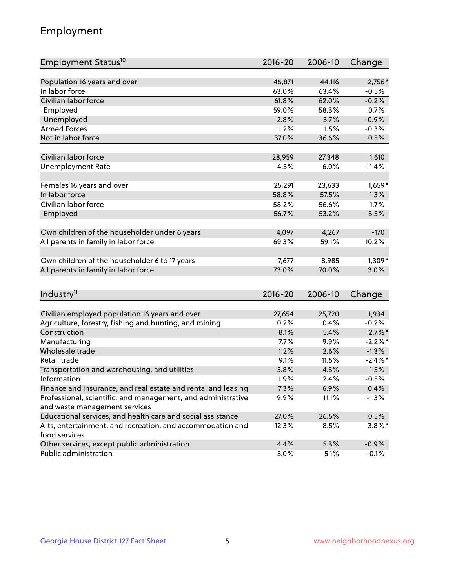## Employment

| Employment Status <sup>10</sup>                               | $2016 - 20$ | 2006-10 | Change     |
|---------------------------------------------------------------|-------------|---------|------------|
|                                                               |             |         |            |
| Population 16 years and over                                  | 46,871      | 44,116  | 2,756*     |
| In labor force                                                | 63.0%       | 63.4%   | $-0.5%$    |
| Civilian labor force                                          | 61.8%       | 62.0%   | $-0.2%$    |
| Employed                                                      | 59.0%       | 58.3%   | 0.7%       |
| Unemployed                                                    | 2.8%        | 3.7%    | $-0.9%$    |
| <b>Armed Forces</b>                                           | 1.2%        | 1.5%    | $-0.3%$    |
| Not in labor force                                            | 37.0%       | 36.6%   | 0.5%       |
|                                                               |             |         |            |
| Civilian labor force                                          | 28,959      | 27,348  | 1,610      |
| <b>Unemployment Rate</b>                                      | 4.5%        | 6.0%    | $-1.4%$    |
| Females 16 years and over                                     | 25,291      | 23,633  | $1,659*$   |
| In labor force                                                | 58.8%       | 57.5%   | 1.3%       |
| Civilian labor force                                          | 58.2%       | 56.6%   | 1.7%       |
| Employed                                                      | 56.7%       | 53.2%   | 3.5%       |
|                                                               |             |         |            |
| Own children of the householder under 6 years                 | 4,097       | 4,267   | $-170$     |
| All parents in family in labor force                          | 69.3%       | 59.1%   | 10.2%      |
|                                                               |             |         |            |
| Own children of the householder 6 to 17 years                 | 7,677       | 8,985   | $-1,309*$  |
| All parents in family in labor force                          | 73.0%       | 70.0%   | 3.0%       |
|                                                               |             |         |            |
| Industry <sup>11</sup>                                        | $2016 - 20$ | 2006-10 | Change     |
| Civilian employed population 16 years and over                | 27,654      | 25,720  | 1,934      |
| Agriculture, forestry, fishing and hunting, and mining        | 0.2%        | 0.4%    | $-0.2%$    |
| Construction                                                  | 8.1%        | 5.4%    | $2.7\%$ *  |
| Manufacturing                                                 | 7.7%        | 9.9%    | $-2.2%$ *  |
| Wholesale trade                                               | 1.2%        | 2.6%    | $-1.3%$    |
| Retail trade                                                  | 9.1%        | 11.5%   | $-2.4\%$ * |
| Transportation and warehousing, and utilities                 | 5.8%        | 4.3%    | 1.5%       |
| Information                                                   | 1.9%        | 2.4%    | $-0.5%$    |
| Finance and insurance, and real estate and rental and leasing | 7.3%        | 6.9%    | 0.4%       |
| Professional, scientific, and management, and administrative  | $9.9\%$     | 11.1%   | $-1.3%$    |
| and waste management services                                 |             |         |            |
| Educational services, and health care and social assistance   | 27.0%       | 26.5%   | 0.5%       |
| Arts, entertainment, and recreation, and accommodation and    | 12.3%       | 8.5%    | $3.8\%$ *  |
| food services                                                 |             |         |            |
| Other services, except public administration                  | 4.4%        | 5.3%    | $-0.9%$    |
| Public administration                                         | 5.0%        | 5.1%    | $-0.1%$    |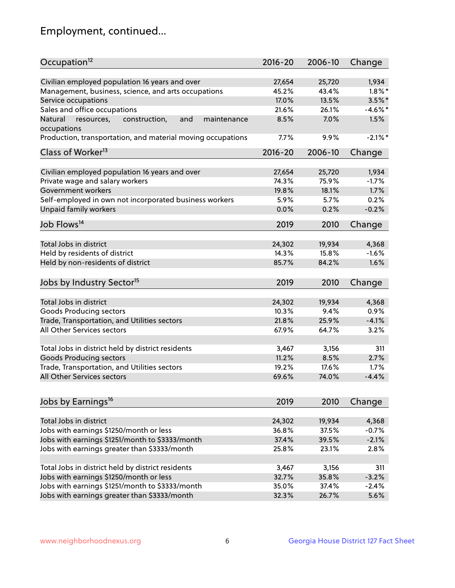## Employment, continued...

| Occupation <sup>12</sup>                                    | $2016 - 20$ | 2006-10 | Change     |
|-------------------------------------------------------------|-------------|---------|------------|
| Civilian employed population 16 years and over              | 27,654      | 25,720  | 1,934      |
| Management, business, science, and arts occupations         | 45.2%       | 43.4%   | $1.8\%$ *  |
| Service occupations                                         | 17.0%       | 13.5%   | $3.5\%$ *  |
| Sales and office occupations                                | 21.6%       | 26.1%   | $-4.6\%$ * |
| and<br>maintenance<br>Natural                               | 8.5%        | 7.0%    | 1.5%       |
| resources,<br>construction,<br>occupations                  |             |         |            |
| Production, transportation, and material moving occupations | 7.7%        | 9.9%    | $-2.1\%$ * |
| Class of Worker <sup>13</sup>                               | $2016 - 20$ | 2006-10 | Change     |
|                                                             |             |         |            |
| Civilian employed population 16 years and over              | 27,654      | 25,720  | 1,934      |
| Private wage and salary workers                             | 74.3%       | 75.9%   | $-1.7%$    |
| Government workers                                          | 19.8%       | 18.1%   | 1.7%       |
| Self-employed in own not incorporated business workers      | 5.9%        | 5.7%    | 0.2%       |
| Unpaid family workers                                       | 0.0%        | 0.2%    | $-0.2%$    |
| Job Flows <sup>14</sup>                                     | 2019        | 2010    | Change     |
|                                                             |             |         |            |
| Total Jobs in district                                      | 24,302      | 19,934  | 4,368      |
| Held by residents of district                               | 14.3%       | 15.8%   | $-1.6%$    |
| Held by non-residents of district                           | 85.7%       | 84.2%   | 1.6%       |
| Jobs by Industry Sector <sup>15</sup>                       | 2019        | 2010    | Change     |
| Total Jobs in district                                      | 24,302      | 19,934  | 4,368      |
|                                                             |             |         | 0.9%       |
| Goods Producing sectors                                     | 10.3%       | 9.4%    |            |
| Trade, Transportation, and Utilities sectors                | 21.8%       | 25.9%   | $-4.1%$    |
| All Other Services sectors                                  | 67.9%       | 64.7%   | 3.2%       |
| Total Jobs in district held by district residents           | 3,467       | 3,156   | 311        |
| <b>Goods Producing sectors</b>                              | 11.2%       | 8.5%    | 2.7%       |
| Trade, Transportation, and Utilities sectors                | 19.2%       | 17.6%   | 1.7%       |
| All Other Services sectors                                  | 69.6%       | 74.0%   | $-4.4%$    |
|                                                             |             |         |            |
| Jobs by Earnings <sup>16</sup>                              | 2019        | 2010    | Change     |
|                                                             |             |         | 4,368      |
| Total Jobs in district                                      | 24,302      | 19,934  |            |
| Jobs with earnings \$1250/month or less                     | 36.8%       | 37.5%   | $-0.7%$    |
| Jobs with earnings \$1251/month to \$3333/month             | 37.4%       | 39.5%   | $-2.1%$    |
| Jobs with earnings greater than \$3333/month                | 25.8%       | 23.1%   | 2.8%       |
| Total Jobs in district held by district residents           | 3,467       | 3,156   | 311        |
| Jobs with earnings \$1250/month or less                     | 32.7%       | 35.8%   | $-3.2%$    |
| Jobs with earnings \$1251/month to \$3333/month             | 35.0%       | 37.4%   | $-2.4%$    |
| Jobs with earnings greater than \$3333/month                | 32.3%       | 26.7%   | 5.6%       |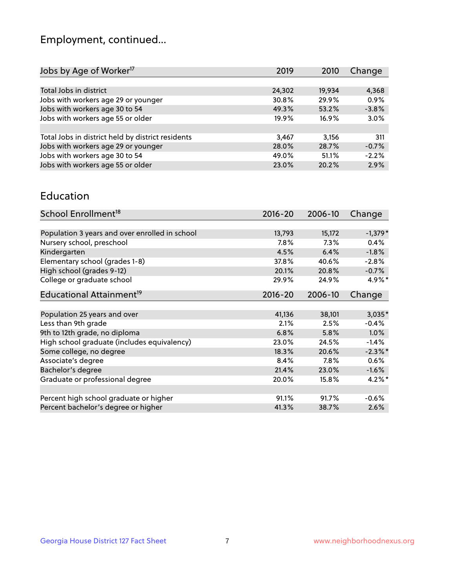## Employment, continued...

| Jobs by Age of Worker <sup>17</sup>               | 2019   | 2010   | Change  |
|---------------------------------------------------|--------|--------|---------|
|                                                   |        |        |         |
| Total Jobs in district                            | 24,302 | 19,934 | 4,368   |
| Jobs with workers age 29 or younger               | 30.8%  | 29.9%  | 0.9%    |
| Jobs with workers age 30 to 54                    | 49.3%  | 53.2%  | $-3.8%$ |
| Jobs with workers age 55 or older                 | 19.9%  | 16.9%  | 3.0%    |
|                                                   |        |        |         |
| Total Jobs in district held by district residents | 3,467  | 3,156  | 311     |
| Jobs with workers age 29 or younger               | 28.0%  | 28.7%  | $-0.7%$ |
| Jobs with workers age 30 to 54                    | 49.0%  | 51.1%  | $-2.2%$ |
| Jobs with workers age 55 or older                 | 23.0%  | 20.2%  | 2.9%    |
|                                                   |        |        |         |

#### Education

| School Enrollment <sup>18</sup>                | $2016 - 20$ | 2006-10 | Change     |
|------------------------------------------------|-------------|---------|------------|
|                                                |             |         |            |
| Population 3 years and over enrolled in school | 13,793      | 15,172  | $-1,379*$  |
| Nursery school, preschool                      | 7.8%        | 7.3%    | 0.4%       |
| Kindergarten                                   | 4.5%        | 6.4%    | $-1.8%$    |
| Elementary school (grades 1-8)                 | 37.8%       | 40.6%   | $-2.8%$    |
| High school (grades 9-12)                      | 20.1%       | 20.8%   | $-0.7%$    |
| College or graduate school                     | 29.9%       | 24.9%   | 4.9%*      |
| Educational Attainment <sup>19</sup>           | $2016 - 20$ | 2006-10 | Change     |
|                                                |             |         |            |
| Population 25 years and over                   | 41,136      | 38,101  | $3,035*$   |
| Less than 9th grade                            | 2.1%        | 2.5%    | $-0.4%$    |
| 9th to 12th grade, no diploma                  | 6.8%        | 5.8%    | 1.0%       |
| High school graduate (includes equivalency)    | 23.0%       | 24.5%   | $-1.4%$    |
| Some college, no degree                        | 18.3%       | 20.6%   | $-2.3\%$ * |
| Associate's degree                             | 8.4%        | 7.8%    | $0.6\%$    |
| Bachelor's degree                              | 21.4%       | 23.0%   | $-1.6%$    |
| Graduate or professional degree                | 20.0%       | 15.8%   | $4.2\%$ *  |
|                                                |             |         |            |
| Percent high school graduate or higher         | 91.1%       | 91.7%   | $-0.6%$    |
| Percent bachelor's degree or higher            | 41.3%       | 38.7%   | 2.6%       |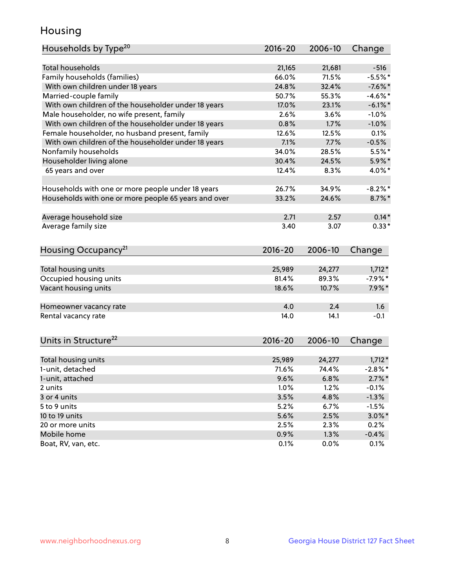## Housing

| <b>Total households</b><br>$-516$<br>21,165<br>21,681<br>$-5.5%$ *<br>Family households (families)<br>66.0%<br>71.5%<br>With own children under 18 years<br>24.8%<br>32.4%<br>$-7.6%$<br>Married-couple family<br>50.7%<br>55.3%<br>$-4.6\%$ *<br>With own children of the householder under 18 years<br>17.0%<br>23.1%<br>$-6.1\%$ *<br>Male householder, no wife present, family<br>2.6%<br>3.6%<br>$-1.0%$<br>With own children of the householder under 18 years<br>0.8%<br>1.7%<br>$-1.0%$<br>Female householder, no husband present, family<br>12.6%<br>12.5%<br>0.1%<br>With own children of the householder under 18 years<br>7.1%<br>$-0.5%$<br>7.7%<br>Nonfamily households<br>34.0%<br>28.5%<br>$5.5%$ *<br>Householder living alone<br>30.4%<br>$5.9\%$ *<br>24.5%<br>65 years and over<br>12.4%<br>4.0%*<br>8.3%<br>$-8.2\%$ *<br>Households with one or more people under 18 years<br>26.7%<br>34.9%<br>Households with one or more people 65 years and over<br>33.2%<br>24.6%<br>$8.7\%$ *<br>$0.14*$<br>Average household size<br>2.71<br>2.57<br>Average family size<br>$0.33*$<br>3.40<br>3.07<br>Housing Occupancy <sup>21</sup><br>$2016 - 20$<br>2006-10<br>Change<br>Total housing units<br>25,989<br>24,277<br>$1,712*$<br>$-7.9%$ *<br>Occupied housing units<br>81.4%<br>89.3%<br>Vacant housing units<br>$7.9\%$ *<br>18.6%<br>10.7%<br>4.0<br>2.4<br>1.6<br>Homeowner vacancy rate<br>$-0.1$<br>Rental vacancy rate<br>14.0<br>14.1<br>Units in Structure <sup>22</sup><br>$2016 - 20$<br>2006-10<br>Change<br>Total housing units<br>25,989<br>24,277<br>$1,712*$<br>$-2.8\%$ *<br>1-unit, detached<br>71.6%<br>74.4%<br>1-unit, attached<br>9.6%<br>6.8%<br>$2.7\%$ *<br>1.0%<br>1.2%<br>2 units<br>$-0.1%$<br>3.5%<br>4.8%<br>$-1.3%$<br>3 or 4 units<br>5 to 9 units<br>5.2%<br>$-1.5%$<br>6.7%<br>5.6%<br>$3.0\%$ *<br>10 to 19 units<br>2.5%<br>20 or more units<br>2.5%<br>2.3%<br>0.2%<br>Mobile home<br>0.9%<br>1.3%<br>$-0.4%$ | Households by Type <sup>20</sup> | 2016-20 | 2006-10 | Change |
|---------------------------------------------------------------------------------------------------------------------------------------------------------------------------------------------------------------------------------------------------------------------------------------------------------------------------------------------------------------------------------------------------------------------------------------------------------------------------------------------------------------------------------------------------------------------------------------------------------------------------------------------------------------------------------------------------------------------------------------------------------------------------------------------------------------------------------------------------------------------------------------------------------------------------------------------------------------------------------------------------------------------------------------------------------------------------------------------------------------------------------------------------------------------------------------------------------------------------------------------------------------------------------------------------------------------------------------------------------------------------------------------------------------------------------------------------------------------------------------------------------------------------------------------------------------------------------------------------------------------------------------------------------------------------------------------------------------------------------------------------------------------------------------------------------------------------------------------------------------------------------------------------------------------------------------------------------------------|----------------------------------|---------|---------|--------|
|                                                                                                                                                                                                                                                                                                                                                                                                                                                                                                                                                                                                                                                                                                                                                                                                                                                                                                                                                                                                                                                                                                                                                                                                                                                                                                                                                                                                                                                                                                                                                                                                                                                                                                                                                                                                                                                                                                                                                                     |                                  |         |         |        |
|                                                                                                                                                                                                                                                                                                                                                                                                                                                                                                                                                                                                                                                                                                                                                                                                                                                                                                                                                                                                                                                                                                                                                                                                                                                                                                                                                                                                                                                                                                                                                                                                                                                                                                                                                                                                                                                                                                                                                                     |                                  |         |         |        |
|                                                                                                                                                                                                                                                                                                                                                                                                                                                                                                                                                                                                                                                                                                                                                                                                                                                                                                                                                                                                                                                                                                                                                                                                                                                                                                                                                                                                                                                                                                                                                                                                                                                                                                                                                                                                                                                                                                                                                                     |                                  |         |         |        |
|                                                                                                                                                                                                                                                                                                                                                                                                                                                                                                                                                                                                                                                                                                                                                                                                                                                                                                                                                                                                                                                                                                                                                                                                                                                                                                                                                                                                                                                                                                                                                                                                                                                                                                                                                                                                                                                                                                                                                                     |                                  |         |         |        |
|                                                                                                                                                                                                                                                                                                                                                                                                                                                                                                                                                                                                                                                                                                                                                                                                                                                                                                                                                                                                                                                                                                                                                                                                                                                                                                                                                                                                                                                                                                                                                                                                                                                                                                                                                                                                                                                                                                                                                                     |                                  |         |         |        |
|                                                                                                                                                                                                                                                                                                                                                                                                                                                                                                                                                                                                                                                                                                                                                                                                                                                                                                                                                                                                                                                                                                                                                                                                                                                                                                                                                                                                                                                                                                                                                                                                                                                                                                                                                                                                                                                                                                                                                                     |                                  |         |         |        |
|                                                                                                                                                                                                                                                                                                                                                                                                                                                                                                                                                                                                                                                                                                                                                                                                                                                                                                                                                                                                                                                                                                                                                                                                                                                                                                                                                                                                                                                                                                                                                                                                                                                                                                                                                                                                                                                                                                                                                                     |                                  |         |         |        |
|                                                                                                                                                                                                                                                                                                                                                                                                                                                                                                                                                                                                                                                                                                                                                                                                                                                                                                                                                                                                                                                                                                                                                                                                                                                                                                                                                                                                                                                                                                                                                                                                                                                                                                                                                                                                                                                                                                                                                                     |                                  |         |         |        |
|                                                                                                                                                                                                                                                                                                                                                                                                                                                                                                                                                                                                                                                                                                                                                                                                                                                                                                                                                                                                                                                                                                                                                                                                                                                                                                                                                                                                                                                                                                                                                                                                                                                                                                                                                                                                                                                                                                                                                                     |                                  |         |         |        |
|                                                                                                                                                                                                                                                                                                                                                                                                                                                                                                                                                                                                                                                                                                                                                                                                                                                                                                                                                                                                                                                                                                                                                                                                                                                                                                                                                                                                                                                                                                                                                                                                                                                                                                                                                                                                                                                                                                                                                                     |                                  |         |         |        |
|                                                                                                                                                                                                                                                                                                                                                                                                                                                                                                                                                                                                                                                                                                                                                                                                                                                                                                                                                                                                                                                                                                                                                                                                                                                                                                                                                                                                                                                                                                                                                                                                                                                                                                                                                                                                                                                                                                                                                                     |                                  |         |         |        |
|                                                                                                                                                                                                                                                                                                                                                                                                                                                                                                                                                                                                                                                                                                                                                                                                                                                                                                                                                                                                                                                                                                                                                                                                                                                                                                                                                                                                                                                                                                                                                                                                                                                                                                                                                                                                                                                                                                                                                                     |                                  |         |         |        |
|                                                                                                                                                                                                                                                                                                                                                                                                                                                                                                                                                                                                                                                                                                                                                                                                                                                                                                                                                                                                                                                                                                                                                                                                                                                                                                                                                                                                                                                                                                                                                                                                                                                                                                                                                                                                                                                                                                                                                                     |                                  |         |         |        |
|                                                                                                                                                                                                                                                                                                                                                                                                                                                                                                                                                                                                                                                                                                                                                                                                                                                                                                                                                                                                                                                                                                                                                                                                                                                                                                                                                                                                                                                                                                                                                                                                                                                                                                                                                                                                                                                                                                                                                                     |                                  |         |         |        |
|                                                                                                                                                                                                                                                                                                                                                                                                                                                                                                                                                                                                                                                                                                                                                                                                                                                                                                                                                                                                                                                                                                                                                                                                                                                                                                                                                                                                                                                                                                                                                                                                                                                                                                                                                                                                                                                                                                                                                                     |                                  |         |         |        |
|                                                                                                                                                                                                                                                                                                                                                                                                                                                                                                                                                                                                                                                                                                                                                                                                                                                                                                                                                                                                                                                                                                                                                                                                                                                                                                                                                                                                                                                                                                                                                                                                                                                                                                                                                                                                                                                                                                                                                                     |                                  |         |         |        |
|                                                                                                                                                                                                                                                                                                                                                                                                                                                                                                                                                                                                                                                                                                                                                                                                                                                                                                                                                                                                                                                                                                                                                                                                                                                                                                                                                                                                                                                                                                                                                                                                                                                                                                                                                                                                                                                                                                                                                                     |                                  |         |         |        |
|                                                                                                                                                                                                                                                                                                                                                                                                                                                                                                                                                                                                                                                                                                                                                                                                                                                                                                                                                                                                                                                                                                                                                                                                                                                                                                                                                                                                                                                                                                                                                                                                                                                                                                                                                                                                                                                                                                                                                                     |                                  |         |         |        |
|                                                                                                                                                                                                                                                                                                                                                                                                                                                                                                                                                                                                                                                                                                                                                                                                                                                                                                                                                                                                                                                                                                                                                                                                                                                                                                                                                                                                                                                                                                                                                                                                                                                                                                                                                                                                                                                                                                                                                                     |                                  |         |         |        |
|                                                                                                                                                                                                                                                                                                                                                                                                                                                                                                                                                                                                                                                                                                                                                                                                                                                                                                                                                                                                                                                                                                                                                                                                                                                                                                                                                                                                                                                                                                                                                                                                                                                                                                                                                                                                                                                                                                                                                                     |                                  |         |         |        |
|                                                                                                                                                                                                                                                                                                                                                                                                                                                                                                                                                                                                                                                                                                                                                                                                                                                                                                                                                                                                                                                                                                                                                                                                                                                                                                                                                                                                                                                                                                                                                                                                                                                                                                                                                                                                                                                                                                                                                                     |                                  |         |         |        |
|                                                                                                                                                                                                                                                                                                                                                                                                                                                                                                                                                                                                                                                                                                                                                                                                                                                                                                                                                                                                                                                                                                                                                                                                                                                                                                                                                                                                                                                                                                                                                                                                                                                                                                                                                                                                                                                                                                                                                                     |                                  |         |         |        |
|                                                                                                                                                                                                                                                                                                                                                                                                                                                                                                                                                                                                                                                                                                                                                                                                                                                                                                                                                                                                                                                                                                                                                                                                                                                                                                                                                                                                                                                                                                                                                                                                                                                                                                                                                                                                                                                                                                                                                                     |                                  |         |         |        |
|                                                                                                                                                                                                                                                                                                                                                                                                                                                                                                                                                                                                                                                                                                                                                                                                                                                                                                                                                                                                                                                                                                                                                                                                                                                                                                                                                                                                                                                                                                                                                                                                                                                                                                                                                                                                                                                                                                                                                                     |                                  |         |         |        |
|                                                                                                                                                                                                                                                                                                                                                                                                                                                                                                                                                                                                                                                                                                                                                                                                                                                                                                                                                                                                                                                                                                                                                                                                                                                                                                                                                                                                                                                                                                                                                                                                                                                                                                                                                                                                                                                                                                                                                                     |                                  |         |         |        |
|                                                                                                                                                                                                                                                                                                                                                                                                                                                                                                                                                                                                                                                                                                                                                                                                                                                                                                                                                                                                                                                                                                                                                                                                                                                                                                                                                                                                                                                                                                                                                                                                                                                                                                                                                                                                                                                                                                                                                                     |                                  |         |         |        |
|                                                                                                                                                                                                                                                                                                                                                                                                                                                                                                                                                                                                                                                                                                                                                                                                                                                                                                                                                                                                                                                                                                                                                                                                                                                                                                                                                                                                                                                                                                                                                                                                                                                                                                                                                                                                                                                                                                                                                                     |                                  |         |         |        |
|                                                                                                                                                                                                                                                                                                                                                                                                                                                                                                                                                                                                                                                                                                                                                                                                                                                                                                                                                                                                                                                                                                                                                                                                                                                                                                                                                                                                                                                                                                                                                                                                                                                                                                                                                                                                                                                                                                                                                                     |                                  |         |         |        |
|                                                                                                                                                                                                                                                                                                                                                                                                                                                                                                                                                                                                                                                                                                                                                                                                                                                                                                                                                                                                                                                                                                                                                                                                                                                                                                                                                                                                                                                                                                                                                                                                                                                                                                                                                                                                                                                                                                                                                                     |                                  |         |         |        |
|                                                                                                                                                                                                                                                                                                                                                                                                                                                                                                                                                                                                                                                                                                                                                                                                                                                                                                                                                                                                                                                                                                                                                                                                                                                                                                                                                                                                                                                                                                                                                                                                                                                                                                                                                                                                                                                                                                                                                                     |                                  |         |         |        |
|                                                                                                                                                                                                                                                                                                                                                                                                                                                                                                                                                                                                                                                                                                                                                                                                                                                                                                                                                                                                                                                                                                                                                                                                                                                                                                                                                                                                                                                                                                                                                                                                                                                                                                                                                                                                                                                                                                                                                                     |                                  |         |         |        |
|                                                                                                                                                                                                                                                                                                                                                                                                                                                                                                                                                                                                                                                                                                                                                                                                                                                                                                                                                                                                                                                                                                                                                                                                                                                                                                                                                                                                                                                                                                                                                                                                                                                                                                                                                                                                                                                                                                                                                                     |                                  |         |         |        |
|                                                                                                                                                                                                                                                                                                                                                                                                                                                                                                                                                                                                                                                                                                                                                                                                                                                                                                                                                                                                                                                                                                                                                                                                                                                                                                                                                                                                                                                                                                                                                                                                                                                                                                                                                                                                                                                                                                                                                                     |                                  |         |         |        |
|                                                                                                                                                                                                                                                                                                                                                                                                                                                                                                                                                                                                                                                                                                                                                                                                                                                                                                                                                                                                                                                                                                                                                                                                                                                                                                                                                                                                                                                                                                                                                                                                                                                                                                                                                                                                                                                                                                                                                                     |                                  |         |         |        |
|                                                                                                                                                                                                                                                                                                                                                                                                                                                                                                                                                                                                                                                                                                                                                                                                                                                                                                                                                                                                                                                                                                                                                                                                                                                                                                                                                                                                                                                                                                                                                                                                                                                                                                                                                                                                                                                                                                                                                                     |                                  |         |         |        |
|                                                                                                                                                                                                                                                                                                                                                                                                                                                                                                                                                                                                                                                                                                                                                                                                                                                                                                                                                                                                                                                                                                                                                                                                                                                                                                                                                                                                                                                                                                                                                                                                                                                                                                                                                                                                                                                                                                                                                                     |                                  |         |         |        |
|                                                                                                                                                                                                                                                                                                                                                                                                                                                                                                                                                                                                                                                                                                                                                                                                                                                                                                                                                                                                                                                                                                                                                                                                                                                                                                                                                                                                                                                                                                                                                                                                                                                                                                                                                                                                                                                                                                                                                                     | Boat, RV, van, etc.              | 0.1%    | 0.0%    | 0.1%   |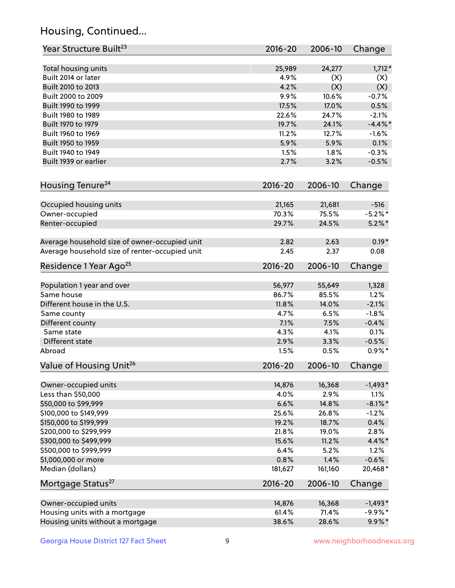## Housing, Continued...

| Year Structure Built <sup>23</sup>               | 2016-20        | 2006-10        | Change        |
|--------------------------------------------------|----------------|----------------|---------------|
| Total housing units                              | 25,989         | 24,277         | $1,712*$      |
| Built 2014 or later                              | 4.9%           | (X)            | (X)           |
| Built 2010 to 2013                               | 4.2%           | (X)            | (X)           |
| Built 2000 to 2009                               | 9.9%           | 10.6%          | $-0.7%$       |
| Built 1990 to 1999                               | 17.5%          | 17.0%          | 0.5%          |
| Built 1980 to 1989                               | 22.6%          | 24.7%          | $-2.1%$       |
| Built 1970 to 1979                               | 19.7%          | 24.1%          | $-4.4\%$ *    |
| Built 1960 to 1969                               | 11.2%          | 12.7%          | $-1.6%$       |
| Built 1950 to 1959                               | 5.9%           | 5.9%           | 0.1%          |
| Built 1940 to 1949                               | 1.5%           | 1.8%           | $-0.3%$       |
| Built 1939 or earlier                            | 2.7%           | 3.2%           | $-0.5%$       |
|                                                  |                |                |               |
| Housing Tenure <sup>24</sup>                     | $2016 - 20$    | 2006-10        | Change        |
| Occupied housing units                           | 21,165         | 21,681         | $-516$        |
| Owner-occupied                                   | 70.3%          | 75.5%          | $-5.2\%$ *    |
| Renter-occupied                                  | 29.7%          | 24.5%          | $5.2\%$ *     |
| Average household size of owner-occupied unit    | 2.82           | 2.63           | $0.19*$       |
| Average household size of renter-occupied unit   | 2.45           | 2.37           | 0.08          |
| Residence 1 Year Ago <sup>25</sup>               | $2016 - 20$    | 2006-10        | Change        |
| Population 1 year and over                       | 56,977         | 55,649         | 1,328         |
| Same house                                       | 86.7%          | 85.5%          | 1.2%          |
| Different house in the U.S.                      | 11.8%          | 14.0%          | $-2.1%$       |
| Same county                                      | 4.7%           | 6.5%           | $-1.8%$       |
| Different county                                 | 7.1%           | 7.5%           | $-0.4%$       |
| Same state                                       | 4.3%           | 4.1%           | 0.1%          |
| Different state                                  | 2.9%           | 3.3%           | $-0.5%$       |
| Abroad                                           | 1.5%           | 0.5%           | $0.9\% *$     |
| Value of Housing Unit <sup>26</sup>              | $2016 - 20$    | 2006-10        | Change        |
|                                                  |                |                |               |
| Owner-occupied units                             | 14,876         | 16,368         | $-1,493*$     |
| Less than \$50,000                               | 4.0%           | 2.9%           | 1.1%          |
| \$50,000 to \$99,999                             | 6.6%           | 14.8%          | $-8.1\%$ *    |
| \$100,000 to \$149,999<br>\$150,000 to \$199,999 | 25.6%          | 26.8%          | $-1.2%$       |
| \$200,000 to \$299,999                           | 19.2%          | 18.7%<br>19.0% | 0.4%          |
| \$300,000 to \$499,999                           | 21.8%<br>15.6% | 11.2%          | 2.8%<br>4.4%* |
|                                                  | 6.4%           | 5.2%           | 1.2%          |
| \$500,000 to \$999,999<br>\$1,000,000 or more    | 0.8%           | 1.4%           | $-0.6%$       |
| Median (dollars)                                 | 181,627        | 161,160        | 20,468*       |
| Mortgage Status <sup>27</sup>                    | $2016 - 20$    | 2006-10        | Change        |
|                                                  |                |                |               |
| Owner-occupied units                             | 14,876         | 16,368         | $-1,493*$     |
| Housing units with a mortgage                    | 61.4%          | 71.4%          | $-9.9%$ *     |
| Housing units without a mortgage                 | 38.6%          | 28.6%          | $9.9\%*$      |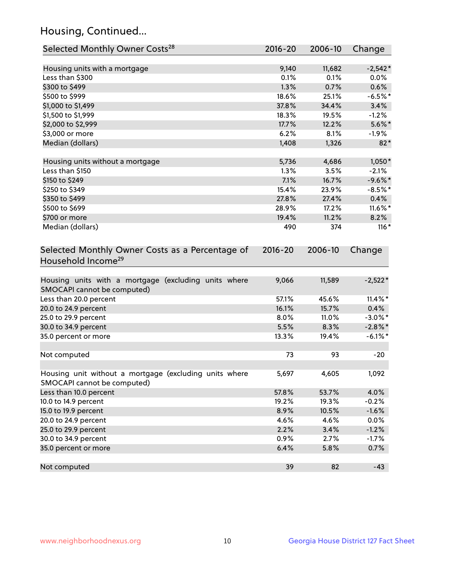## Housing, Continued...

| Selected Monthly Owner Costs <sup>28</sup>                                            | 2016-20     | 2006-10 | Change     |
|---------------------------------------------------------------------------------------|-------------|---------|------------|
| Housing units with a mortgage                                                         | 9,140       | 11,682  | $-2,542*$  |
| Less than \$300                                                                       | 0.1%        | 0.1%    | $0.0\%$    |
| \$300 to \$499                                                                        | 1.3%        | 0.7%    | 0.6%       |
| \$500 to \$999                                                                        | 18.6%       | 25.1%   | $-6.5%$ *  |
| \$1,000 to \$1,499                                                                    | 37.8%       | 34.4%   | 3.4%       |
| \$1,500 to \$1,999                                                                    | 18.3%       | 19.5%   | $-1.2%$    |
| \$2,000 to \$2,999                                                                    | 17.7%       | 12.2%   | $5.6\%$ *  |
| \$3,000 or more                                                                       | 6.2%        | 8.1%    | $-1.9\%$   |
| Median (dollars)                                                                      | 1,408       | 1,326   | $82*$      |
| Housing units without a mortgage                                                      | 5,736       | 4,686   | $1,050*$   |
| Less than \$150                                                                       | 1.3%        | 3.5%    | $-2.1%$    |
| \$150 to \$249                                                                        | 7.1%        | 16.7%   | $-9.6\%$ * |
| \$250 to \$349                                                                        | 15.4%       | 23.9%   | $-8.5%$ *  |
| \$350 to \$499                                                                        | 27.8%       | 27.4%   | 0.4%       |
| \$500 to \$699                                                                        | 28.9%       | 17.2%   | 11.6%*     |
| \$700 or more                                                                         | 19.4%       | 11.2%   | 8.2%       |
| Median (dollars)                                                                      | 490         | 374     | $116*$     |
| Selected Monthly Owner Costs as a Percentage of<br>Household Income <sup>29</sup>     | $2016 - 20$ | 2006-10 | Change     |
| Housing units with a mortgage (excluding units where<br>SMOCAPI cannot be computed)   | 9,066       | 11,589  | $-2,522*$  |
| Less than 20.0 percent                                                                | 57.1%       | 45.6%   | $11.4\%$ * |
| 20.0 to 24.9 percent                                                                  | 16.1%       | 15.7%   | 0.4%       |
| 25.0 to 29.9 percent                                                                  | 8.0%        | 11.0%   | $-3.0\%$ * |
| 30.0 to 34.9 percent                                                                  | 5.5%        | 8.3%    | $-2.8\%$ * |
| 35.0 percent or more                                                                  | 13.3%       | 19.4%   | $-6.1\%$ * |
| Not computed                                                                          | 73          | 93      | $-20$      |
| Housing unit without a mortgage (excluding units where<br>SMOCAPI cannot be computed) | 5,697       | 4,605   | 1,092      |
| Less than 10.0 percent                                                                | 57.8%       | 53.7%   | 4.0%       |
| 10.0 to 14.9 percent                                                                  | 19.2%       | 19.3%   | $-0.2%$    |
| 15.0 to 19.9 percent                                                                  | 8.9%        | 10.5%   | $-1.6%$    |
| 20.0 to 24.9 percent                                                                  | 4.6%        | 4.6%    | 0.0%       |
| 25.0 to 29.9 percent                                                                  | 2.2%        | 3.4%    | $-1.2%$    |
| 30.0 to 34.9 percent                                                                  | 0.9%        | $2.7\%$ | $-1.7%$    |
| 35.0 percent or more                                                                  | 6.4%        | 5.8%    | 0.7%       |
| Not computed                                                                          | 39          | 82      | $-43$      |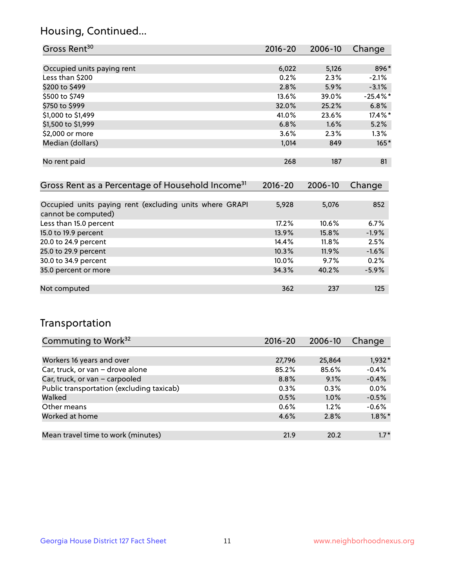## Housing, Continued...

| Gross Rent <sup>30</sup>   | 2016-20 | 2006-10 | Change     |
|----------------------------|---------|---------|------------|
|                            |         |         |            |
| Occupied units paying rent | 6,022   | 5,126   | 896*       |
| Less than \$200            | 0.2%    | 2.3%    | $-2.1%$    |
| \$200 to \$499             | 2.8%    | 5.9%    | $-3.1%$    |
| \$500 to \$749             | 13.6%   | 39.0%   | $-25.4%$ * |
| \$750 to \$999             | 32.0%   | 25.2%   | 6.8%       |
| \$1,000 to \$1,499         | 41.0%   | 23.6%   | 17.4%*     |
| \$1,500 to \$1,999         | 6.8%    | 1.6%    | 5.2%       |
| \$2,000 or more            | 3.6%    | 2.3%    | 1.3%       |
| Median (dollars)           | 1,014   | 849     | $165*$     |
|                            |         |         |            |
| No rent paid               | 268     | 187     | 81         |

| Gross Rent as a Percentage of Household Income <sup>31</sup>                   | $2016 - 20$ | 2006-10  | Change  |
|--------------------------------------------------------------------------------|-------------|----------|---------|
|                                                                                |             |          |         |
| Occupied units paying rent (excluding units where GRAPI<br>cannot be computed) | 5,928       | 5,076    | 852     |
| Less than 15.0 percent                                                         | 17.2%       | 10.6%    | 6.7%    |
| 15.0 to 19.9 percent                                                           | 13.9%       | 15.8%    | $-1.9%$ |
| 20.0 to 24.9 percent                                                           | 14.4%       | $11.8\%$ | 2.5%    |
| 25.0 to 29.9 percent                                                           | 10.3%       | 11.9%    | $-1.6%$ |
| 30.0 to 34.9 percent                                                           | $10.0\%$    | 9.7%     | 0.2%    |
| 35.0 percent or more                                                           | 34.3%       | 40.2%    | $-5.9%$ |
|                                                                                |             |          |         |
| Not computed                                                                   | 362         | 237      | 125     |

## Transportation

| Commuting to Work <sup>32</sup>           | 2016-20 | 2006-10 | Change    |
|-------------------------------------------|---------|---------|-----------|
|                                           |         |         |           |
| Workers 16 years and over                 | 27,796  | 25,864  | $1,932*$  |
| Car, truck, or van - drove alone          | 85.2%   | 85.6%   | $-0.4%$   |
| Car, truck, or van - carpooled            | 8.8%    | 9.1%    | $-0.4%$   |
| Public transportation (excluding taxicab) | $0.3\%$ | $0.3\%$ | 0.0%      |
| Walked                                    | 0.5%    | 1.0%    | $-0.5%$   |
| Other means                               | 0.6%    | $1.2\%$ | $-0.6%$   |
| Worked at home                            | 4.6%    | 2.8%    | $1.8\%$ * |
|                                           |         |         |           |
| Mean travel time to work (minutes)        | 21.9    | 20.2    | $1.7*$    |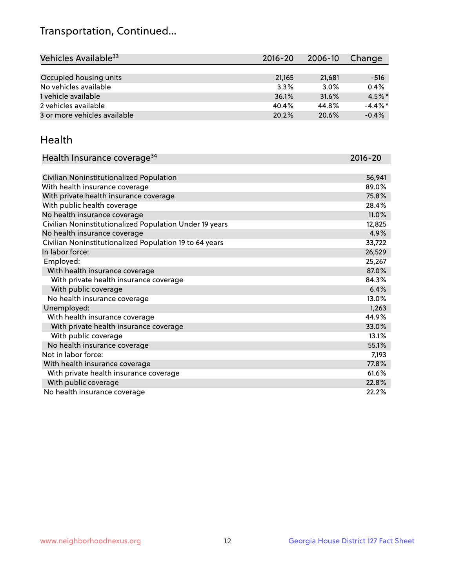## Transportation, Continued...

| Vehicles Available <sup>33</sup> | 2016-20 | 2006-10 | Change     |
|----------------------------------|---------|---------|------------|
|                                  |         |         |            |
| Occupied housing units           | 21,165  | 21,681  | $-516$     |
| No vehicles available            | 3.3%    | 3.0%    | 0.4%       |
| 1 vehicle available              | 36.1%   | 31.6%   | $4.5\%$ *  |
| 2 vehicles available             | 40.4%   | 44.8%   | $-4.4\%$ * |
| 3 or more vehicles available     | 20.2%   | 20.6%   | $-0.4%$    |

#### Health

| Health Insurance coverage <sup>34</sup>                 | 2016-20 |
|---------------------------------------------------------|---------|
|                                                         |         |
| Civilian Noninstitutionalized Population                | 56,941  |
| With health insurance coverage                          | 89.0%   |
| With private health insurance coverage                  | 75.8%   |
| With public health coverage                             | 28.4%   |
| No health insurance coverage                            | 11.0%   |
| Civilian Noninstitutionalized Population Under 19 years | 12,825  |
| No health insurance coverage                            | 4.9%    |
| Civilian Noninstitutionalized Population 19 to 64 years | 33,722  |
| In labor force:                                         | 26,529  |
| Employed:                                               | 25,267  |
| With health insurance coverage                          | 87.0%   |
| With private health insurance coverage                  | 84.3%   |
| With public coverage                                    | 6.4%    |
| No health insurance coverage                            | 13.0%   |
| Unemployed:                                             | 1,263   |
| With health insurance coverage                          | 44.9%   |
| With private health insurance coverage                  | 33.0%   |
| With public coverage                                    | 13.1%   |
| No health insurance coverage                            | 55.1%   |
| Not in labor force:                                     | 7,193   |
| With health insurance coverage                          | 77.8%   |
| With private health insurance coverage                  | 61.6%   |
| With public coverage                                    | 22.8%   |
| No health insurance coverage                            | 22.2%   |